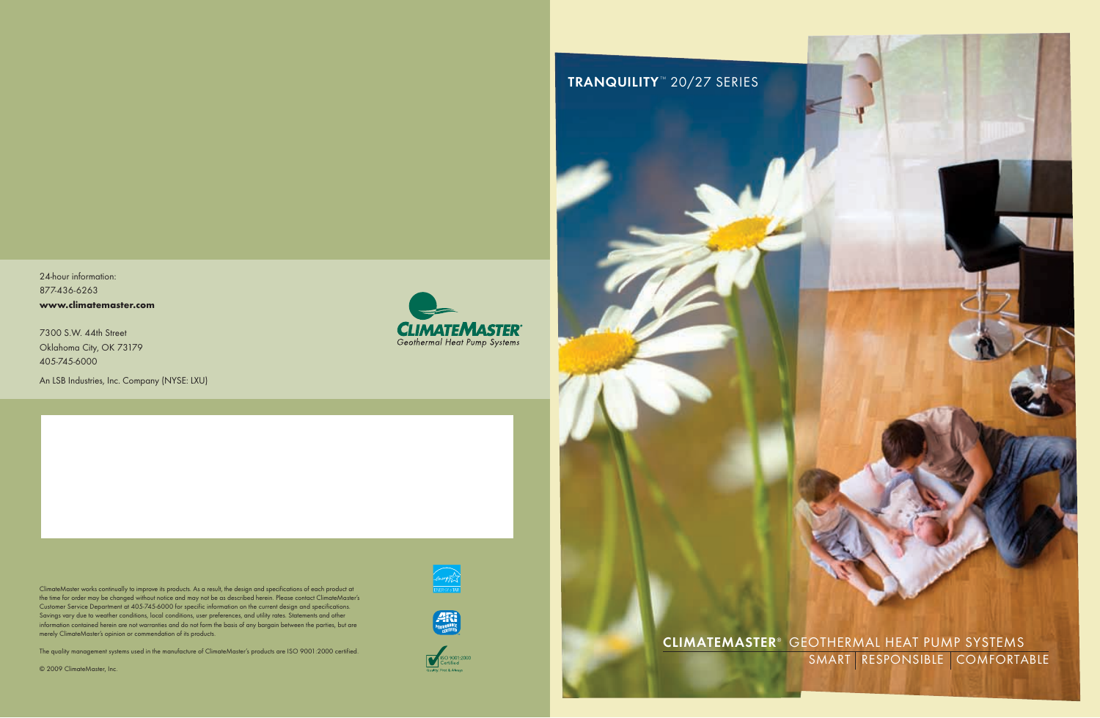CLIMATEMASTER<sup>®</sup> GEOTHERMAL HEAT PUMP SYSTEMS SMART RESPONSIBLE COMFORTABLE

24-hour information: 877-436-6263 **www.climatemaster.com**

7300 S.W. 44th Street Oklahoma City, OK 73179 405-745-6000

An LSB Industries, Inc. Company (NYSE: LXU)



ClimateMaster works continually to improve its products. As a result, the design and specifications of each product at the time for order may be changed without notice and may not be as described herein. Please contact ClimateMaster's Customer Service Department at 405-745-6000 for specific information on the current design and specifications. Savings vary due to weather conditions, local conditions, user preferences, and utility rates. Statements and other information contained herein are not warranties and do not form the basis of any bargain between the parties, but are merely ClimateMaster's opinion or commendation of its products.

The quality management systems used in the manufacture of ClimateMaster's products are ISO 9001:2000 certified.

© 2009 ClimateMaster, Inc.







# TRANQUILITY<sup>™</sup> 20/27 SERIES

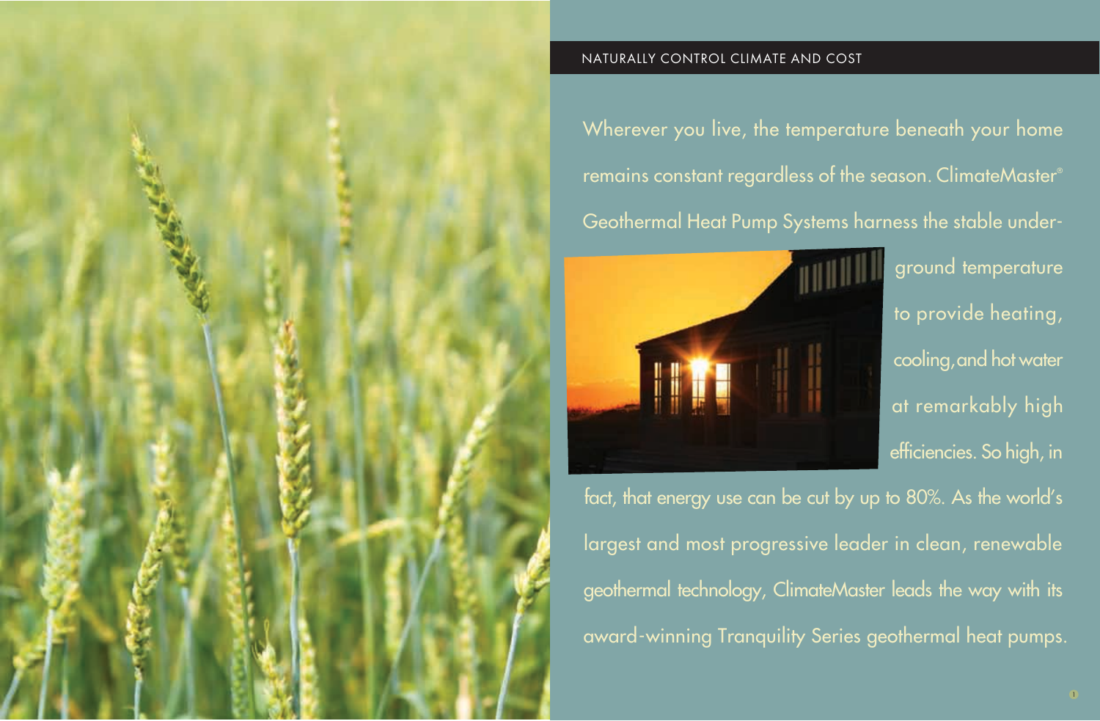Wherever you live, the temperature beneath your home remains constant regardless of the season. ClimateMaster® Geothermal Heat Pump Systems harness the stable under-



ground temperature to provide heating, cooling, and hot water at remarkably high efficiencies. So high, in fact, that energy use can be cut by up to 80%. As the world's

largest and most progressive leader in clean, renewable geothermal technology, ClimateMaster leads the way with its award-winning Tranquility Series geothermal heat pumps.

# NATURALLY CONTROL CLIMATE AND COST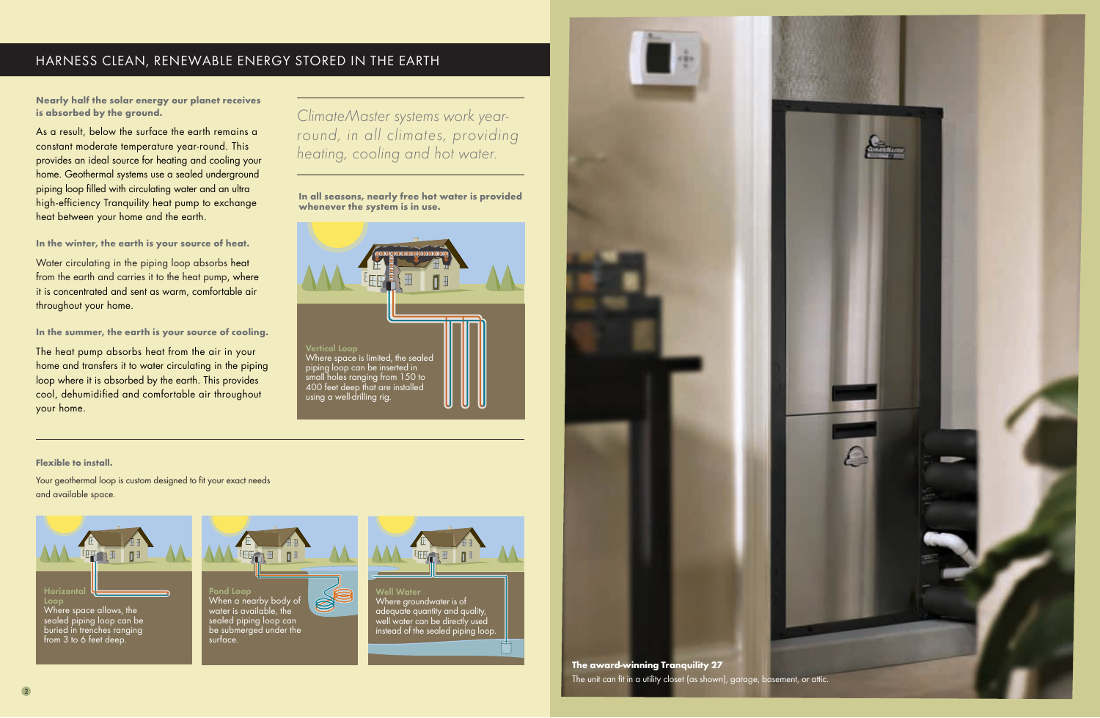Your geothermal loop is custom designed to fit your exact needs and available space.



### **Flexible to install.**

# HARNESS CLEAN, RENEWABLE ENERGY STORED IN THE EARTH



water is available, the sealed piping loop can be submerged under the surface.



Well Water Where groundwater is of adequate quantity and quality, well water can be directly used instead of the sealed piping loop.

**Nearly half the solar energy our planet receives is absorbed by the ground.**



As a result, below the surface the earth remains a constant moderate temperature year-round. This provides an ideal source for heating and cooling your home. Geothermal systems use a sealed underground piping loop filled with circulating water and an ultra high-efficiency Tranquility heat pump to exchange heat between your home and the earth.

**In the winter, the earth is your source of heat.**

Water circulating in the piping loop absorbs heat from the earth and carries it to the heat pump, where it is concentrated and sent as warm, comfortable air throughout your home.

**In the summer, the earth is your source of cooling.**

The heat pump absorbs heat from the air in your home and transfers it to water circulating in the piping loop where it is absorbed by the earth. This provides cool, dehumidified and comfortable air throughout your home.

**In all seasons, nearly free hot water is provided whenever the system is in use.**

*ClimateMaster systems work yearround, in all climates, providing heating, cooling and hot water.*





from 3 to 6 feet deep.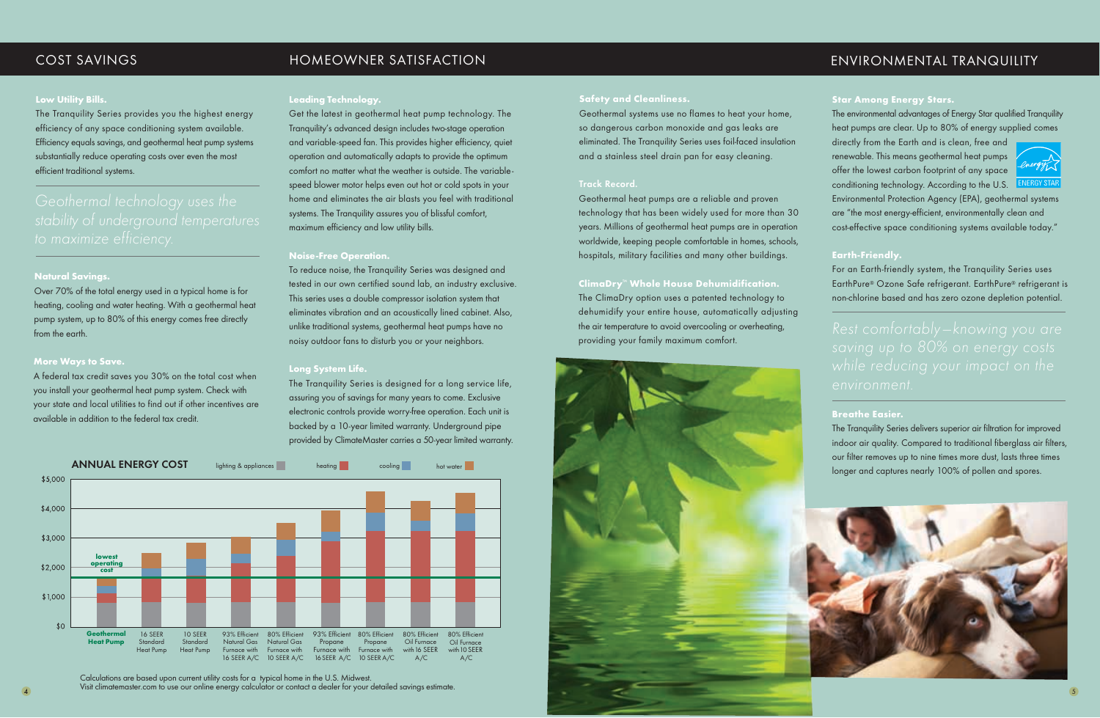### **Low Utility Bills.**

The Tranquility Series provides you the highest energy efficiency of any space conditioning system available. Efficiency equals savings, and geothermal heat pump systems substantially reduce operating costs over even the most efficient traditional systems.

## **Natural Savings.**

Over 70% of the total energy used in a typical home is for heating, cooling and water heating. With a geothermal heat pump system, up to 80% of this energy comes free directly from the earth.

## **More Ways to Save.**

A federal tax credit saves you 30% on the total cost when you install your geothermal heat pump system. Check with your state and local utilities to find out if other incentives are available in addition to the federal tax credit.

### **Leading Technology.**

Get the latest in geothermal heat pump technology. The Tranquility's advanced design includes two-stage operation and variable-speed fan. This provides higher efficiency, quiet operation and automatically adapts to provide the optimum comfort no matter what the weather is outside. The variablespeed blower motor helps even out hot or cold spots in your home and eliminates the air blasts you feel with traditional systems. The Tranquility assures you of blissful comfort, maximum efficiency and low utility bills.

### **Noise-Free Operation.**

To reduce noise, the Tranquility Series was designed and tested in our own certified sound lab, an industry exclusive. This series uses a double compressor isolation system that eliminates vibration and an acoustically lined cabinet. Also, unlike traditional systems, geothermal heat pumps have no noisy outdoor fans to disturb you or your neighbors.

#### **Long System Life.**

The Tranquility Series is designed for a long service life, assuring you of savings for many years to come. Exclusive electronic controls provide worry-free operation. Each unit is backed by a 10-year limited warranty. Underground pipe provided by ClimateMaster carries a 50-year limited warranty.

#### **Safety and Cleanliness.**

Geothermal systems use no flames to heat your home, so dangerous carbon monoxide and gas leaks are eliminated. The Tranquility Series uses foil-faced insulation and a stainless steel drain pan for easy cleaning.

#### Track Record.

Geothermal heat pumps are a reliable and proven technology that has been widely used for more than 30 years. Millions of geothermal heat pumps are in operation worldwide, keeping people comfortable in homes, schools, hospitals, military facilities and many other buildings.

## **ClimaDry**™ **Whole House Dehumidification.**

The ClimaDry option uses a patented technology to dehumidify your entire house, automatically adjusting the air temperature to avoid overcooling or overheating, providing your family maximum comfort.



## COST SAVINGS HOMEOWNER SATISFACTION ENVIRONMENTAL TRANQUILITY

### **Star Among Energy Stars.**

The environmental advantages of Energy Star qualified Tranquility heat pumps are clear. Up to 80% of energy supplied comes

directly from the Earth and is clean, free and renewable. This means geothermal heat pumps offer the lowest carbon footprint of any space conditioning technology. According to the U.S.



Environmental Protection Agency (EPA), geothermal systems are "the most energy-efficient, environmentally clean and cost-effective space conditioning systems available today."

### **Earth-Friendly.**

For an Earth-friendly system, the Tranquility Series uses EarthPure® Ozone Safe refrigerant. EarthPure® refrigerant is non-chlorine based and has zero ozone depletion potential.

### **Breathe Easier.**

The Tranquility Series delivers superior air filtration for improved indoor air quality. Compared to traditional fiberglass air filters, our filter removes up to nine times more dust, lasts three times longer and captures nearly 100% of pollen and spores.





Calculations are based upon current utility costs for a typical home in the U.S. Midwest.<br>Visit climatemaster.com to use our online energy calculator or contact a dealer for your detailed savings estimate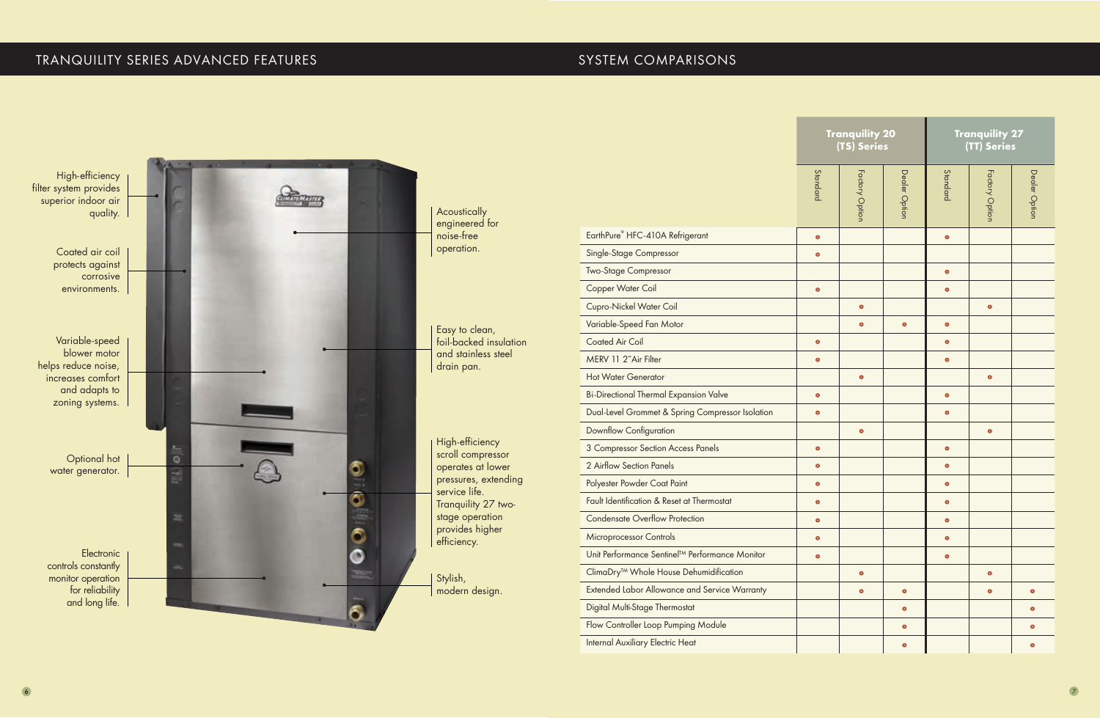# TRANQUILITY SERIES ADVANCED FEATURES STATES AND SYSTEM COMPARISONS



| EarthPure <sup>®</sup> HFC-410A Refrigerant                |
|------------------------------------------------------------|
| <b>Single-Stage Compressor</b>                             |
| <b>Two-Stage Compressor</b>                                |
| <b>Copper Water Coil</b>                                   |
| <b>Cupro-Nickel Water Coil</b>                             |
| Variable-Speed Fan Motor                                   |
| <b>Coated Air Coil</b>                                     |
| MERV 11 2"Air Filter                                       |
| <b>Hot Water Generator</b>                                 |
| <b>Bi-Directional Thermal Expansion Valve</b>              |
| Dual-Level Grommet & Spring Compressor Isolation           |
| <b>Downflow Configuration</b>                              |
| 3 Compressor Section Access Panels                         |
| 2 Airflow Section Panels                                   |
| Polyester Powder Coat Paint                                |
| Fault Identification & Reset at Thermostat                 |
| <b>Condensate Overflow Protection</b>                      |
| Microprocessor Controls                                    |
| Unit Performance Sentinel <sup>™</sup> Performance Monitor |
| ClimaDry <sup>™</sup> Whole House Dehumidification         |
| <b>Extended Labor Allowance and Service Warranty</b>       |
| Digital Multi-Stage Thermostat                             |
| Flow Controller Loop Pumping Module                        |
| Internal Auxiliary Electric Heat                           |

| <b>Tranquility 20</b><br>(TS) Series |                |               | <b>Tranquility 27</b><br>(TT) Series |                |               |  |
|--------------------------------------|----------------|---------------|--------------------------------------|----------------|---------------|--|
| Standard                             | Factory Option | Dealer Option | Standard                             | Factory Option | Dealer Option |  |
| $\bullet$                            |                |               | $\bullet$                            |                |               |  |
| $\bullet$                            |                |               |                                      |                |               |  |
|                                      |                |               | $\bullet$                            |                |               |  |
| $\bullet$                            |                |               | $\bullet$                            |                |               |  |
|                                      | $\bullet$      |               |                                      | $\bullet$      |               |  |
|                                      | $\bullet$      | $\bullet$     | $\bullet$                            |                |               |  |
| $\bullet$                            |                |               | $\bullet$                            |                |               |  |
| $\bullet$                            |                |               | $\bullet$                            |                |               |  |
|                                      | $\bullet$      |               |                                      | $\bullet$      |               |  |
| $\bullet$                            |                |               | $\bullet$                            |                |               |  |
| $\bullet$                            |                |               | $\bullet$                            |                |               |  |
|                                      | $\bullet$      |               |                                      | $\bullet$      |               |  |
| $\bullet$                            |                |               | $\bullet$                            |                |               |  |
| $\bullet$                            |                |               | $\bullet$                            |                |               |  |
| $\bullet$                            |                |               | $\bullet$                            |                |               |  |
| $\bullet$                            |                |               | $\bullet$                            |                |               |  |
| $\bullet$                            |                |               | $\bullet$                            |                |               |  |
| $\bullet$                            |                |               | $\bullet$                            |                |               |  |
| $\bullet$                            |                |               | $\bullet$                            |                |               |  |
|                                      | $\bullet$      |               |                                      | $\bullet$      |               |  |
|                                      | $\bullet$      | $\bullet$     |                                      | $\bullet$      | $\bullet$     |  |
|                                      |                | $\bullet$     |                                      |                | $\bullet$     |  |
|                                      |                | $\bullet$     |                                      |                | $\bullet$     |  |
|                                      |                | $\bullet$     |                                      |                | $\bullet$     |  |